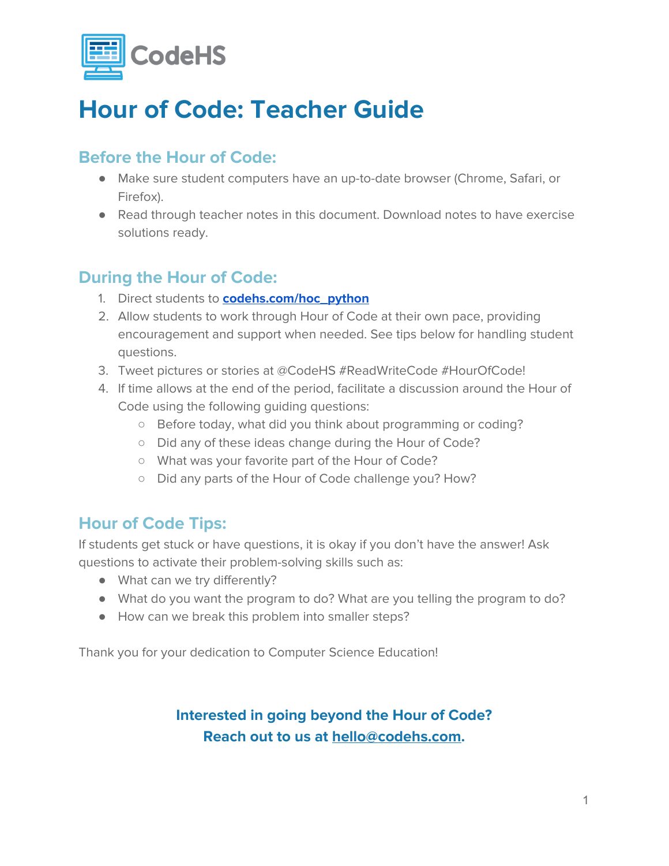

## **Hour of Code: Teacher Guide**

## **Before the Hour of Code:**

- Make sure student computers have an up-to-date browser (Chrome, Safari, or Firefox).
- Read through teacher notes in this document. Download notes to have exercise solutions ready.

## **During the Hour of Code:**

- 1. Direct students to **[codehs.com/hoc\\_python](http://codehs.com/hoc_python)**
- 2. Allow students to work through Hour of Code at their own pace, providing encouragement and support when needed. See tips below for handling student questions.
- 3. Tweet pictures or stories at @CodeHS #ReadWriteCode #HourOfCode!
- 4. If time allows at the end of the period, facilitate a discussion around the Hour of Code using the following guiding questions:
	- Before today, what did you think about programming or coding?
	- Did any of these ideas change during the Hour of Code?
	- What was your favorite part of the Hour of Code?
	- Did any parts of the Hour of Code challenge you? How?

## **Hour of Code Tips:**

If students get stuck or have questions, it is okay if you don't have the answer! Ask questions to activate their problem-solving skills such as:

- What can we try differently?
- What do you want the program to do? What are you telling the program to do?
- How can we break this problem into smaller steps?

Thank you for your dedication to Computer Science Education!

## **Interested in going beyond the Hour of Code? Reach out to us at [hello@codehs.com](mailto:hello@codehs.com).**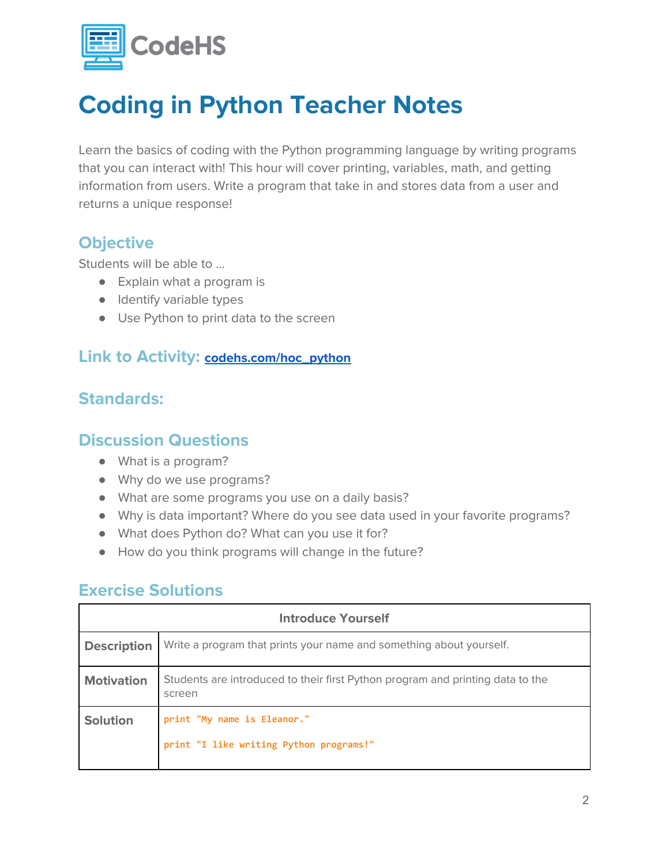

## **Coding in Python Teacher Notes**

Learn the basics of coding with the Python programming language by writing programs that you can interact with! This hour will cover printing, variables, math, and getting information from users. Write a program that take in and stores data from a user and returns a unique response!

### **Objective**

Students will be able to …

- Explain what a program is
- Identify variable types
- Use Python to print data to the screen

#### **Link to Activity: [codehs.com/hoc\\_python](http://codehs.com/hoc_python)**

### **Standards:**

#### **Discussion Questions**

- What is a program?
- Why do we use programs?
- What are some programs you use on a daily basis?
- Why is data important? Where do you see data used in your favorite programs?
- What does Python do? What can you use it for?
- How do you think programs will change in the future?

#### **Exercise Solutions**

| <b>Introduce Yourself</b> |                                                                                          |  |
|---------------------------|------------------------------------------------------------------------------------------|--|
| <b>Description</b>        | Write a program that prints your name and something about yourself.                      |  |
| <b>Motivation</b>         | Students are introduced to their first Python program and printing data to the<br>screen |  |
| <b>Solution</b>           | print "My name is Eleanor."<br>print "I like writing Python programs!"                   |  |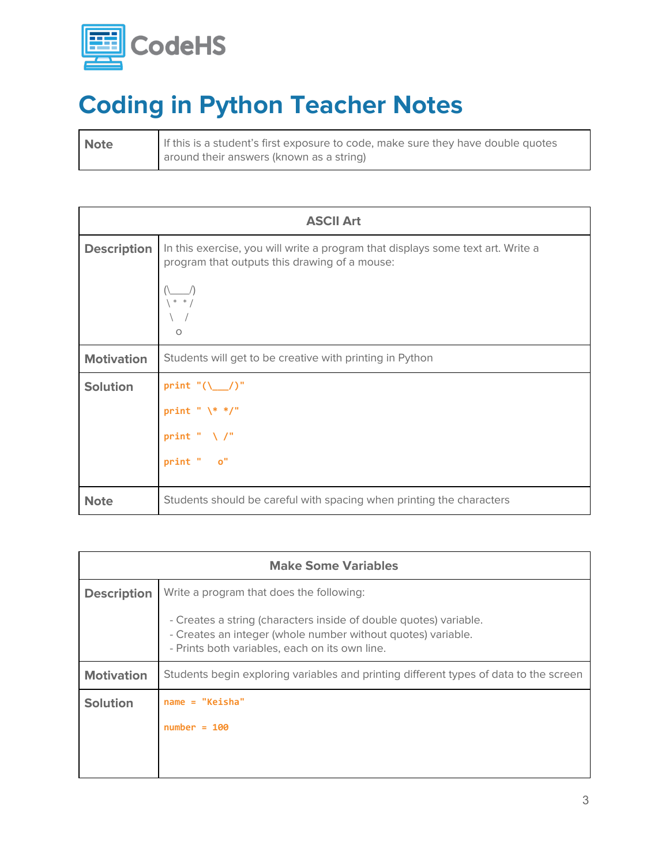

# **Coding in Python Teacher Notes**

| <b>Note</b> | If this is a student's first exposure to code, make sure they have double quotes |
|-------------|----------------------------------------------------------------------------------|
|             | around their answers (known as a string)                                         |

| <b>ASCII Art</b>   |                                                                                                                                  |
|--------------------|----------------------------------------------------------------------------------------------------------------------------------|
| <b>Description</b> | In this exercise, you will write a program that displays some text art. Write a<br>program that outputs this drawing of a mouse: |
|                    | $* * /$<br>$\circ$                                                                                                               |
| <b>Motivation</b>  | Students will get to be creative with printing in Python                                                                         |
| <b>Solution</b>    | print $"(\_\_/)"$                                                                                                                |
|                    | print " $\$ ^* $\frac{1}{2}$ "                                                                                                   |
|                    | print " $\setminus$ /"                                                                                                           |
|                    | print " o"                                                                                                                       |
| <b>Note</b>        | Students should be careful with spacing when printing the characters                                                             |

| <b>Make Some Variables</b> |                                                                                                                                                                                     |  |
|----------------------------|-------------------------------------------------------------------------------------------------------------------------------------------------------------------------------------|--|
| <b>Description</b>         | Write a program that does the following:                                                                                                                                            |  |
|                            | - Creates a string (characters inside of double quotes) variable.<br>- Creates an integer (whole number without quotes) variable.<br>- Prints both variables, each on its own line. |  |
| <b>Motivation</b>          | Students begin exploring variables and printing different types of data to the screen                                                                                               |  |
| <b>Solution</b>            | $name = "Keisha"$                                                                                                                                                                   |  |
|                            | $number = 100$                                                                                                                                                                      |  |
|                            |                                                                                                                                                                                     |  |